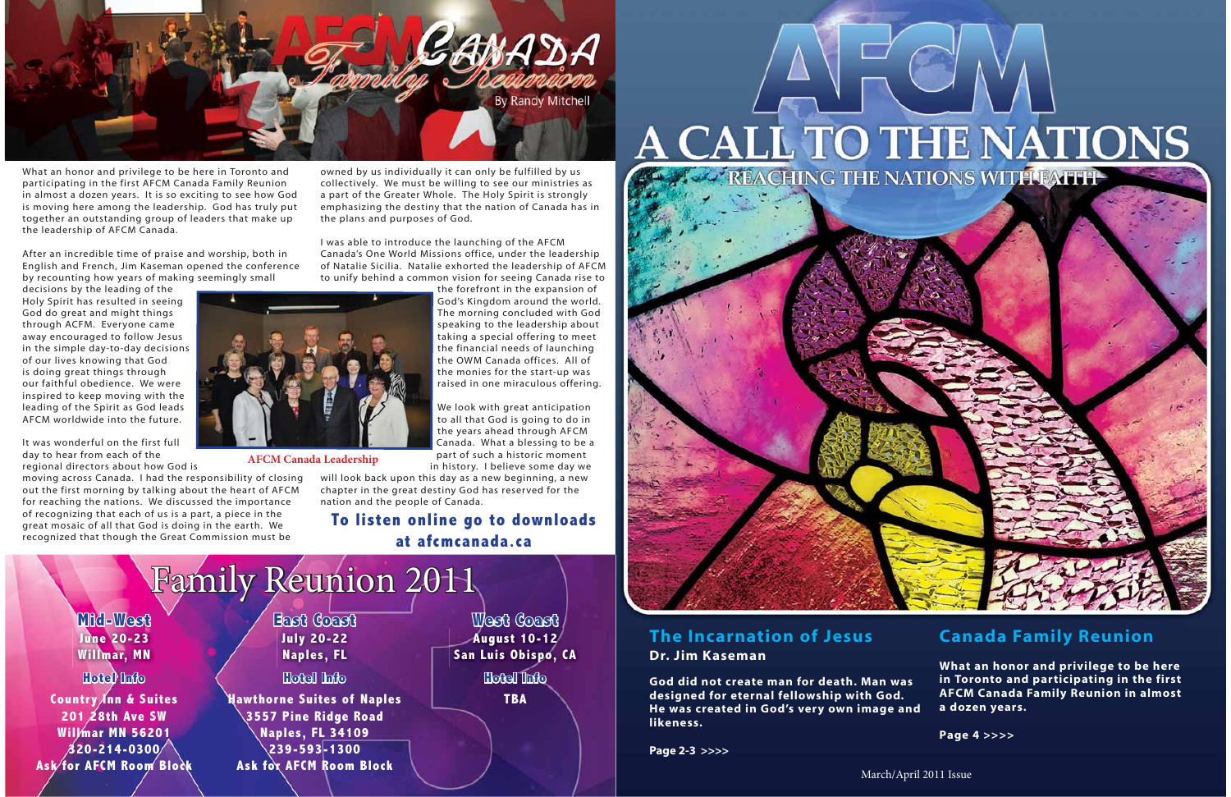# **The Incarnation of JesusDr. Jim Kaseman**

**God did not create man for death. Man was designed for eternal fellowship with God. He was created in God's very own image and likeness.**

**Page 2-3 >>>>**

# **Canada Family Reunion**

**What an honor and privilege to be here in Toronto and participating in the first AFCM Canada Family Reunion in almost a dozen years.** 

**Page 4 >>>>**



What an honor and privilege to be here in Toronto and participating in the first AFCM Canada Family Reunion in almost a dozen years. It is so exciting to see how God is moving here among the leadership. God has truly put together an outstanding group of leaders that make up the leadership of AFCM Canada.

After an incredible time of praise and worship, both in English and French, Jim Kaseman opened the conference by recounting how years of making seemingly small

decisions by the leading of the Holy Spirit has resulted in seeing God do great and might things through ACFM. Everyone came away encouraged to follow Jesus in the simple day-to-day decisions of our lives knowing that God is doing great things through our faithful obedience. We were inspired to keep moving with the leading of the Spirit as God leads AFCM worldwide into the future.

It was wonderful on the first full day to hear from each of the regional directors about how God is

moving across Canada. I had the responsibility of closing out the first morning by talking about the heart of AFCM for reaching the nations. We discussed the importance of recognizing that each of us is a part, a piece in the great mosaic of all that God is doing in the earth. We recognized that though the Great Commission must be

owned by us individually it can only be fulfilled by us collectively. We must be willing to see our ministries as a part of the Greater Whole. The Holy Spirit is strongly emphasizing the destiny that the nation of Canada has in the plans and purposes of God.

I was able to introduce the launching of the AFCM Canada's One World Missions office, under the leadership of Natalie Sicilia. Natalie exhorted the leadership of AFCM to unify behind a common vision for seeing Canada rise to

the forefront in the expansion of God's Kingdom around the world. The morning concluded with God speaking to the leadership about taking a special offering to meet the financial needs of launching the OWM Canada offices. All of the monies for the start-up was raised in one miraculous offering.

We look with great anticipation to all that God is going to do in the years ahead through AFCM Canada. What a blessing to be a part of such a historic moment in history. I believe some day we

will look back upon this day as a new beginning, a new chapter in the great destiny God has reserved for the

nation and the people of Canada.



# A CALL TO THE NATIONS



**To listen online go to downloads at afcmcanada.ca**